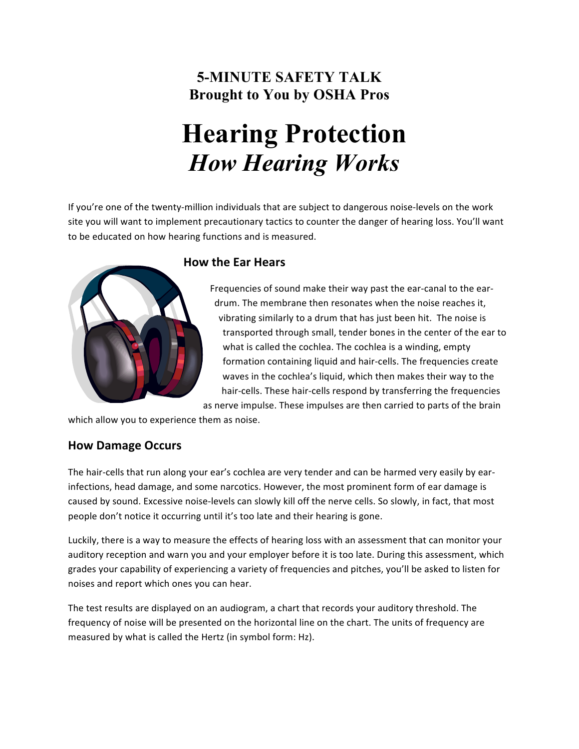### **5-MINUTE SAFETY TALK Brought to You by OSHA Pros**

# **Hearing Protection**  *How Hearing Works*

If you're one of the twenty-million individuals that are subject to dangerous noise-levels on the work site you will want to implement precautionary tactics to counter the danger of hearing loss. You'll want to be educated on how hearing functions and is measured.



#### **How the Ear Hears**

Frequencies of sound make their way past the ear-canal to the eardrum. The membrane then resonates when the noise reaches it, vibrating similarly to a drum that has just been hit. The noise is transported through small, tender bones in the center of the ear to what is called the cochlea. The cochlea is a winding, empty formation containing liquid and hair-cells. The frequencies create waves in the cochlea's liquid, which then makes their way to the hair-cells. These hair-cells respond by transferring the frequencies as nerve impulse. These impulses are then carried to parts of the brain

which allow you to experience them as noise.

#### **How Damage Occurs**

The hair-cells that run along your ear's cochlea are very tender and can be harmed very easily by earinfections, head damage, and some narcotics. However, the most prominent form of ear damage is caused by sound. Excessive noise-levels can slowly kill off the nerve cells. So slowly, in fact, that most people don't notice it occurring until it's too late and their hearing is gone.

Luckily, there is a way to measure the effects of hearing loss with an assessment that can monitor your auditory reception and warn you and your employer before it is too late. During this assessment, which grades your capability of experiencing a variety of frequencies and pitches, you'll be asked to listen for noises and report which ones you can hear.

The test results are displayed on an audiogram, a chart that records your auditory threshold. The frequency of noise will be presented on the horizontal line on the chart. The units of frequency are measured by what is called the Hertz (in symbol form: Hz).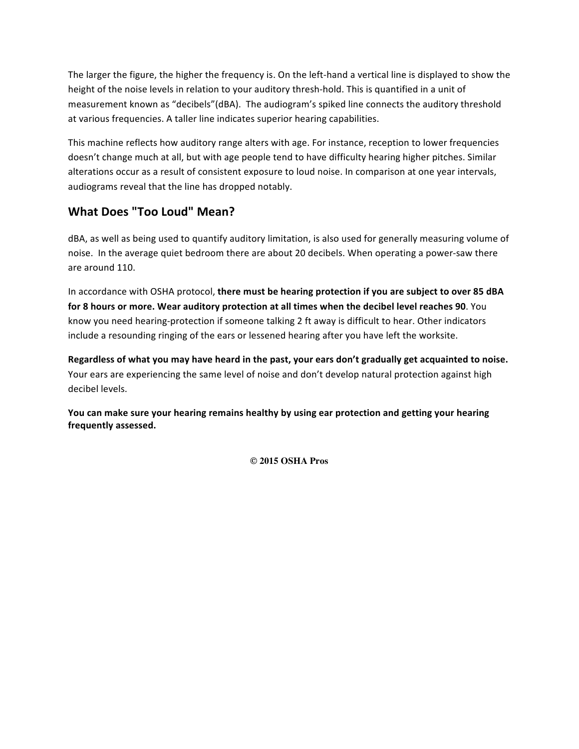The larger the figure, the higher the frequency is. On the left-hand a vertical line is displayed to show the height of the noise levels in relation to your auditory thresh-hold. This is quantified in a unit of measurement known as "decibels"(dBA). The audiogram's spiked line connects the auditory threshold at various frequencies. A taller line indicates superior hearing capabilities.

This machine reflects how auditory range alters with age. For instance, reception to lower frequencies doesn't change much at all, but with age people tend to have difficulty hearing higher pitches. Similar alterations occur as a result of consistent exposure to loud noise. In comparison at one year intervals, audiograms reveal that the line has dropped notably.

#### **What Does "Too Loud" Mean?**

dBA, as well as being used to quantify auditory limitation, is also used for generally measuring volume of noise. In the average quiet bedroom there are about 20 decibels. When operating a power-saw there are around 110.

In accordance with OSHA protocol, there must be hearing protection if you are subject to over 85 dBA for 8 hours or more. Wear auditory protection at all times when the decibel level reaches 90. You know you need hearing-protection if someone talking 2 ft away is difficult to hear. Other indicators include a resounding ringing of the ears or lessened hearing after you have left the worksite.

Regardless of what you may have heard in the past, your ears don't gradually get acquainted to noise. Your ears are experiencing the same level of noise and don't develop natural protection against high decibel levels.

You can make sure your hearing remains healthy by using ear protection and getting your hearing frequently assessed.

**© 2015 OSHA Pros**